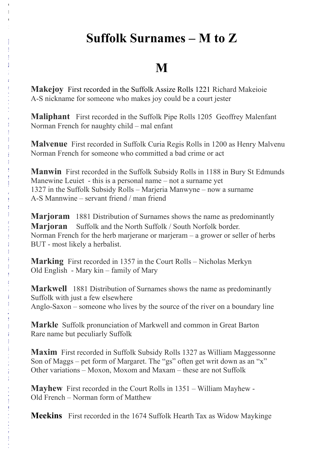# **Suffolk Surnames – M to Z**

# **M**

**Makejoy** First recorded in the Suffolk Assize Rolls 1221 Richard Makeioie A-S nickname for someone who makes joy could be a court jester

o  $\mathbf{r}$ e :

 $\lfloor$  $\mathbf{1}$  $\mathbf{1}$  $\mathbf{I}^{\top}$ : / / w w w . s u  $\mathbf{r}$ n a m e d  $\mathbf{I}$ . į. o m / S į,  $\mathbf{r}$ n a m e / M a  $\mathbf{r}$ j o  $\overline{1}$ a m # i  $\frac{1}{2}$ z z 1 y.  $\mathbf{1}$ į, w w i<br>E  $\mathbf{1}$ [w](http://www.surnamedb.com/Surname/Marjoram#ixzz1ytQwwZtw)

**Maliphant** First recorded in the Suffolk Pipe Rolls 1205 Geoffrey Malenfant Norman French for naughty child – mal enfant

**Malvenue** First recorded in Suffolk Curia Regis Rolls in 1200 as Henry Malvenu Norman French for someone who committed a bad crime or act

**Manwin** First recorded in the Suffolk Subsidy Rolls in 1188 in Bury St Edmunds Manewine Leuiet - this is a personal name – not a surname yet 1327 in the Suffolk Subsidy Rolls – Marjeria Manwyne – now a surname A-S Mannwine – servant friend / man friend

**Marjoram** 1881 Distribution of Surnames shows the name as predominantly **Marjoran** Suffolk and the North Suffolk / South Norfolk border. Norman French for the herb marjerane or marjeram – a grower or seller of herbs BUT - most likely a herbalist.

**Marking** First recorded in 1357 in the Court Rolls – Nicholas Merkyn Old English - Mary kin – family of Mary

**Markwell** 1881 Distribution of Surnames shows the name as predominantly Suffolk with just a few elsewhere Anglo-Saxon – someone who lives by the source of the river on a boundary line

**Markle** Suffolk pronunciation of Markwell and common in Great Barton Rare name but peculiarly Suffolk

**Maxim** First recorded in Suffolk Subsidy Rolls 1327 as William Maggessonne Son of Maggs – pet form of Margaret. The "gs" often get writ down as an "x" Other variations – Moxon, Moxom and Maxam – these are not Suffolk

**Mayhew** First recorded in the Court Rolls in 1351 – William Mayhew - Old French – Norman form of Matthew

**Meekins** First recorded in the 1674 Suffolk Hearth Tax as Widow Maykinge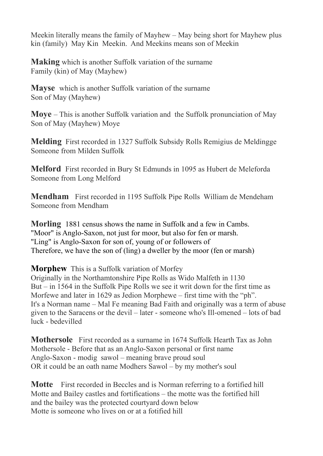Meekin literally means the family of Mayhew – May being short for Mayhew plus kin (family) May Kin Meekin. And Meekins means son of Meekin

**Making** which is another Suffolk variation of the surname Family (kin) of May (Mayhew)

**Mayse** which is another Suffolk variation of the surname Son of May (Mayhew)

**Moye** – This is another Suffolk variation and the Suffolk pronunciation of May Son of May (Mayhew) Moye

**Melding** First recorded in 1327 Suffolk Subsidy Rolls Remigius de Meldingge Someone from Milden Suffolk

**Melford** First recorded in Bury St Edmunds in 1095 as Hubert de Meleforda Someone from Long Melford

**Mendham** First recorded in 1195 Suffolk Pipe Rolls William de Mendeham Someone from Mendham

**Morling** 1881 census shows the name in Suffolk and a few in Cambs. "Moor" is Anglo-Saxon, not just for moor, but also for fen or marsh. "Ling" is Anglo-Saxon for son of, young of or followers of Therefore, we have the son of (ling) a dweller by the moor (fen or marsh)

**Morphew** This is a Suffolk variation of Morfey

Originally in the Northamtonshire Pipe Rolls as Wido Malfeth in 1130 But – in 1564 in the Suffolk Pipe Rolls we see it writ down for the first time as Morfewe and later in 1629 as Jedion Morphewe – first time with the "ph". It's a Norman name – Mal Fe meaning Bad Faith and originally was a term of abuse given to the Saracens or the devil – later - someone who's Ill-omened – lots of bad luck - bedevilled

**Mothersole** First recorded as a surname in 1674 Suffolk Hearth Tax as John Mothersole - Before that as an Anglo-Saxon personal or first name Anglo-Saxon - modig sawol – meaning brave proud soul OR it could be an oath name Modhers Sawol – by my mother's soul

**Motte** First recorded in Beccles and is Norman referring to a fortified hill Motte and Bailey castles and fortifications – the motte was the fortified hill and the bailey was the protected courtyard down below Motte is someone who lives on or at a fotified hill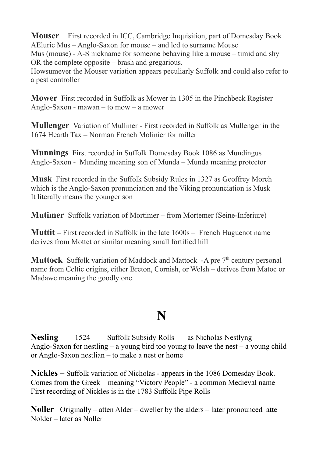**Mouser** First recorded in ICC, Cambridge Inquisition, part of Domesday Book AEluric Mus – Anglo-Saxon for mouse – and led to surname Mouse Mus (mouse) - A-S nickname for someone behaving like a mouse – timid and shy OR the complete opposite – brash and gregarious.

Howsumever the Mouser variation appears peculiarly Suffolk and could also refer to a pest controller

**Mower** First recorded in Suffolk as Mower in 1305 in the Pinchbeck Register Anglo-Saxon - mawan – to mow – a mower

**Mullenger** Variation of Mulliner - First recorded in Suffolk as Mullenger in the 1674 Hearth Tax – Norman French Molinier for miller

**Munnings** First recorded in Suffolk Domesday Book 1086 as Mundingus Anglo-Saxon - Munding meaning son of Munda – Munda meaning protector

**Musk** First recorded in the Suffolk Subsidy Rules in 1327 as Geoffrey Morch which is the Anglo-Saxon pronunciation and the Viking pronunciation is Musk It literally means the younger son

**Mutimer** Suffolk variation of Mortimer – from Mortemer (Seine-Inferiure)

**Muttit** – First recorded in Suffolk in the late  $1600s$  – French Huguenot name derives from Mottet or similar meaning small fortified hill

**Muttock** Suffolk variation of Maddock and Mattock -A pre 7<sup>th</sup> century personal name from Celtic origins, either Breton, Cornish, or Welsh – derives from Matoc or Madawc meaning the goodly one.

## **N**

**Nesling** 1524 Suffolk Subsidy Rolls as Nicholas Nestlyng Anglo-Saxon for nestling – a young bird too young to leave the nest – a young child or Anglo-Saxon nestlian – to make a nest or home

**Nickles –** Suffolk variation of Nicholas - appears in the 1086 Domesday Book. Comes from the Greek – meaning "Victory People" - a common Medieval name First recording of Nickles is in the 1783 Suffolk Pipe Rolls

**Noller** Originally – atten Alder – dweller by the alders – later pronounced atte Nolder – later as Noller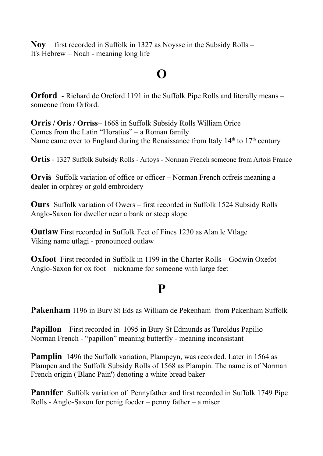**Noy** first recorded in Suffolk in 1327 as Noysse in the Subsidy Rolls – It's Hebrew – Noah - meaning long life

## **O**

**Orford** - Richard de Oreford 1191 in the Suffolk Pipe Rolls and literally means – someone from Orford.

**Orris / Oris / Orriss**– 1668 in Suffolk Subsidy Rolls William Orice Comes from the Latin "Horatius" – a Roman family Name came over to England during the Renaissance from Italy  $14<sup>th</sup>$  to  $17<sup>th</sup>$  century

**Ortis** - 1327 Suffolk Subsidy Rolls - Artoys - Norman French someone from Artois France

**Orvis** Suffolk variation of office or officer – Norman French orfreis meaning a dealer in orphrey or gold embroidery

**Ours** Suffolk variation of Owers – first recorded in Suffolk 1524 Subsidy Rolls Anglo-Saxon for dweller near a bank or steep slope

**Outlaw** First recorded in Suffolk Feet of Fines 1230 as Alan le Vtlage Viking name utlagi - pronounced outlaw

**Oxfoot** First recorded in Suffolk in 1199 in the Charter Rolls – Godwin Oxefot Anglo-Saxon for ox foot – nickname for someone with large feet

## **P**

**Pakenham** 1196 in Bury St Eds as William de Pekenham from Pakenham Suffolk

**Papillon** First recorded in 1095 in Bury St Edmunds as Turoldus Papilio Norman French - "papillon" meaning butterfly - meaning inconsistant

**Pamplin** 1496 the Suffolk variation, Plampeyn, was recorded. Later in 1564 as Plampen and the Suffolk Subsidy Rolls of 1568 as Plampin. The name is of Norman French origin ('Blanc Pain') denoting a white bread baker

**Pannifer** Suffolk variation of Pennyfather and first recorded in Suffolk 1749 Pipe Rolls - Anglo-Saxon for penig foeder – penny father – a miser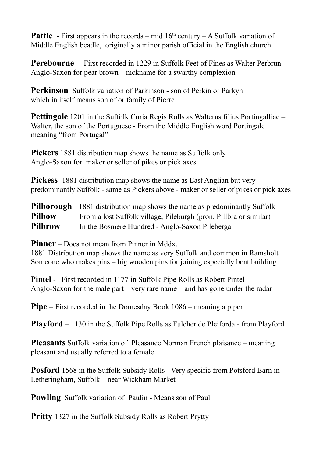**Pattle** - First appears in the records – mid  $16<sup>th</sup>$  century – A Suffolk variation of Middle English beadle, originally a minor parish official in the English church

**Perebourne** First recorded in 1229 in Suffolk Feet of Fines as Walter Perbrun Anglo-Saxon for pear brown – nickname for a swarthy complexion

**Perkinson** Suffolk variation of Parkinson - son of Perkin or Parkyn which in itself means son of or family of Pierre

**Pettingale** 1201 in the Suffolk Curia Regis Rolls as Walterus filius Portingalliae – Walter, the son of the Portuguese - From the Middle English word Portingale meaning "from Portugal"

**Pickers** 1881 distribution map shows the name as Suffolk only Anglo-Saxon for maker or seller of pikes or pick axes

**Pickess** 1881 distribution map shows the name as East Anglian but very predominantly Suffolk - same as Pickers above - maker or seller of pikes or pick axes

**Pilborough** 1881 distribution map shows the name as predominantly Suffolk **Pilbow** From a lost Suffolk village, Pileburgh (pron. Pillbra or similar) **Pilbrow** In the Bosmere Hundred - Anglo-Saxon Pileberga

**Pinner** – Does not mean from Pinner in Mddx.

1881 Distribution map shows the name as very Suffolk and common in Ramsholt Someone who makes pins – big wooden pins for joining especially boat building

**Pintel** - First recorded in 1177 in Suffolk Pipe Rolls as Robert Pintel Anglo-Saxon for the male part – very rare name – and has gone under the radar

**Pipe** – First recorded in the Domesday Book 1086 – meaning a piper

**Playford** – 1130 in the Suffolk Pipe Rolls as Fulcher de Pleiforda - from Playford

**Pleasants** Suffolk variation of Pleasance Norman French plaisance – meaning pleasant and usually referred to a female

**Posford** 1568 in the Suffolk Subsidy Rolls - Very specific from Potsford Barn in Letheringham, Suffolk – near Wickham Market

**Powling** Suffolk variation of Paulin - Means son of Paul

**Pritty** 1327 in the Suffolk Subsidy Rolls as Robert Prytty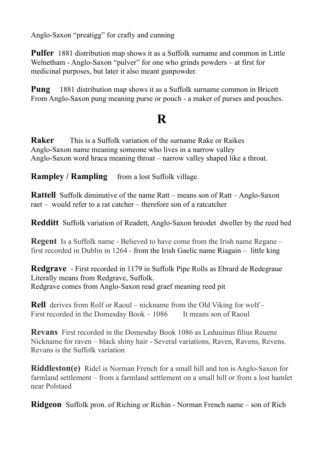Anglo-Saxon "preatigg" for crafty and cunning

**Pulfer** 1881 distribution map shows it as a Suffolk surname and common in Little Welnetham - Anglo-Saxon "pulver" for one who grinds powders – at first for medicinal purposes, but later it also meant gunpowder.

**Pung** 1881 distribution map shows it as a Suffolk surname common in Bricett From Anglo-Saxon pung meaning purse or pouch - a maker of purses and pouches.

## **R**

**Raker** This is a Suffolk variation of the surname Rake or Raikes Anglo-Saxon name meaning someone who lives in a narrow valley Anglo-Saxon word hraca meaning throat – narrow valley shaped like a throat.

**Rampley / Rampling** from a lost Suffolk village.

**Rattell** Suffolk diminutive of the name Ratt – means son of Ratt – Anglo-Saxon raet – would refer to a rat catcher – therefore son of a ratcatcher

**Redditt** Suffolk variation of Readett, Anglo-Saxon hreodet dweller by the reed bed

**Regent** Is a Suffolk name - Believed to have come from the Irish name Regane – first recorded in Dublin in 1264 - from the Irish Gaelic name Riagain – little king

**Redgrave** - First recorded in 1179 in Suffolk Pipe Rolls as Ebrard de Redegraue Literally means from Redgrave, Suffolk. Redgrave comes from Anglo-Saxon read graef meaning reed pit

**Rell** derives from Rolf or Raoul – nickname from the Old Viking for wolf - First recorded in the Domesday Book – 1086 It means son of Raoul

**Revans** First recorded in the Domesday Book 1086 as Leduuinus filius Reuene Nickname for raven – black shiny hair - Several variations, Raven, Ravens, Revens. Revans is the Suffolk variation

**Riddleston(e)** Ridel is Norman French for a small hill and ton is Anglo-Saxon for farmland settlement – from a farmland settlement on a small hill or from a lost hamlet near Polstaed

**Ridgeon** Suffolk pron. of Riching or Richin - Norman French name – son of Rich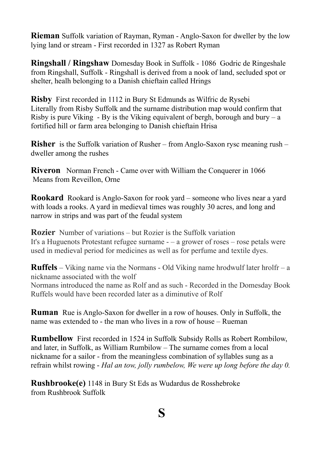**Rieman** Suffolk variation of Rayman, Ryman - Anglo-Saxon for dweller by the low lying land or stream - First recorded in 1327 as Robert Ryman

**Ringshall / Ringshaw** Domesday Book in Suffolk - 1086 Godric de Ringeshale from Ringshall, Suffolk - Ringshall is derived from a nook of land, secluded spot or shelter, healh belonging to a Danish chieftain called Hrings

**Risby** First recorded in 1112 in Bury St Edmunds as Wilfric de Rysebi Literally from Risby Suffolk and the surname distribution map would confirm that Risby is pure Viking - By is the Viking equivalent of bergh, borough and bury – a fortified hill or farm area belonging to Danish chieftain Hrisa

**Risher** is the Suffolk variation of Rusher – from Anglo-Saxon rysc meaning rush – dweller among the rushes

**Riveron** Norman French - Came over with William the Conquerer in 1066 Means from Reveillon, Orne

**Rookard** Rookard is Anglo-Saxon for rook yard – someone who lives near a yard with loads a rooks. A yard in medieval times was roughly 30 acres, and long and narrow in strips and was part of the feudal system

**Rozier** Number of variations – but Rozier is the Suffolk variation It's a Huguenots Protestant refugee surname - – a grower of roses – rose petals were used in medieval period for medicines as well as for perfume and textile dyes.

**Ruffels** – Viking name via the Normans - Old Viking name hrodwulf later hrolfr – a nickname associated with the wolf Normans introduced the name as Rolf and as such - Recorded in the Domesday Book Ruffels would have been recorded later as a diminutive of Rolf

**Ruman** Rue is Anglo-Saxon for dweller in a row of houses. Only in Suffolk, the name was extended to - the man who lives in a row of house – Rueman

**Rumbellow** First recorded in 1524 in Suffolk Subsidy Rolls as Robert Rombilow, and later, in Suffolk, as William Rumbilow – The surname comes from a local nickname for a sailor - from the meaningless combination of syllables sung as a refrain whilst rowing - *Hal an tow, jolly rumbelow, We were up long before the day 0.*

**Rushbrooke(e)** 1148 in Bury St Eds as Wudardus de Rosshebroke from Rushbrook Suffolk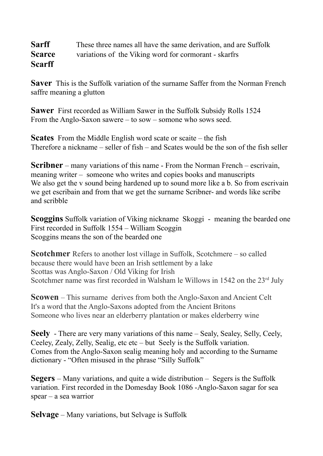#### **Sarff** These three names all have the same derivation, and are Suffolk **Scarce** variations of the Viking word for cormorant - skarfrs **Scarff**

**Saver** This is the Suffolk variation of the surname Saffer from the Norman French saffre meaning a glutton

**Sawer** First recorded as William Sawer in the Suffolk Subsidy Rolls 1524 From the Anglo-Saxon sawere – to sow – somone who sows seed.

**Scates** From the Middle English word scate or scaite – the fish Therefore a nickname – seller of fish – and Scates would be the son of the fish seller

**Scribner** – many variations of this name - From the Norman French – escrivain, meaning writer – someone who writes and copies books and manuscripts We also get the v sound being hardened up to sound more like a b. So from escrivain we get escribain and from that we get the surname Scribner- and words like scribe and scribble

**Scoggins** Suffolk variation of Viking nickname Skoggi - meaning the bearded one First recorded in Suffolk 1554 – William Scoggin Scoggins means the son of the bearded one

**Scotchmer** Refers to another lost village in Suffolk, Scotchmere – so called because there would have been an Irish settlement by a lake Scottas was Anglo-Saxon / Old Viking for Irish Scotchmer name was first recorded in Walsham le Willows in 1542 on the  $23<sup>rd</sup>$  July

**Scowen** – This surname derives from both the Anglo-Saxon and Ancient Celt It's a word that the Anglo-Saxons adopted from the Ancient Britons Someone who lives near an elderberry plantation or makes elderberry wine

**Seely** - There are very many variations of this name – Sealy, Sealey, Selly, Ceely, Ceeley, Zealy, Zelly, Sealig, etc etc – but Seely is the Suffolk variation. Comes from the Anglo-Saxon sealig meaning holy and according to the Surname dictionary - "Often misused in the phrase "Silly Suffolk"

**Segers** – Many variations, and quite a wide distribution – Segers is the Suffolk variation. First recorded in the Domesday Book 1086 -Anglo-Saxon sagar for sea spear – a sea warrior

**Selvage** – Many variations, but Selvage is Suffolk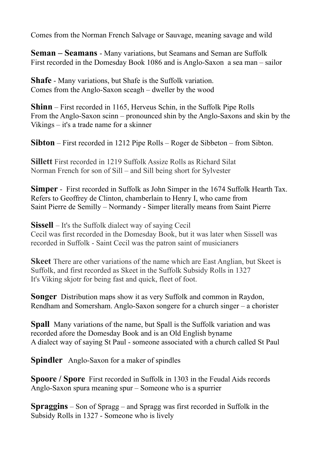Comes from the Norman French Salvage or Sauvage, meaning savage and wild

**Seman – Seamans** - Many variations, but Seamans and Seman are Suffolk First recorded in the Domesday Book 1086 and is Anglo-Saxon a sea man – sailor

**Shafe** - Many variations, but Shafe is the Suffolk variation. Comes from the Anglo-Saxon sceagh – dweller by the wood

**Shinn** – First recorded in 1165, Herveus Schin, in the Suffolk Pipe Rolls From the Anglo-Saxon scinn – pronounced shin by the Anglo-Saxons and skin by the Vikings – it's a trade name for a skinner

**Sibton** – First recorded in 1212 Pipe Rolls – Roger de Sibbeton – from Sibton.

**Sillett** First recorded in 1219 Suffolk Assize Rolls as Richard Silat Norman French for son of Sill – and Sill being short for Sylvester

**Simper** - First recorded in Suffolk as John Simper in the 1674 Suffolk Hearth Tax. Refers to Geoffrey de Clinton, chamberlain to Henry I, who came from Saint Pierre de Semilly – Normandy - Simper literally means from Saint Pierre

**Sissell** – It's the Suffolk dialect way of saying Cecil Cecil was first recorded in the Domesday Book, but it was later when Sissell was recorded in Suffolk - Saint Cecil was the patron saint of musicianers

**Skeet** There are other variations of the name which are East Anglian, but Skeet is Suffolk, and first recorded as Skeet in the Suffolk Subsidy Rolls in 1327 It's Viking skjotr for being fast and quick, fleet of foot.

**Songer** Distribution maps show it as very Suffolk and common in Raydon, Rendham and Somersham. Anglo-Saxon songere for a church singer – a chorister

**Spall** Many variations of the name, but Spall is the Suffolk variation and was recorded afore the Domesday Book and is an Old English byname A dialect way of saying St Paul - someone associated with a church called St Paul

**Spindler** Anglo-Saxon for a maker of spindles

**Spoore / Spore** First recorded in Suffolk in 1303 in the Feudal Aids records Anglo-Saxon spura meaning spur – Someone who is a spurrier

**Spraggins** – Son of Spragg – and Spragg was first recorded in Suffolk in the Subsidy Rolls in 1327 - Someone who is lively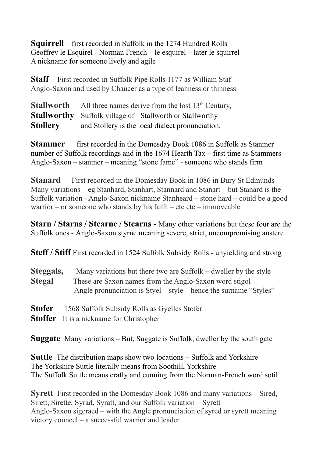**Squirrell** – first recorded in Suffolk in the 1274 Hundred Rolls Geoffrey le Esquirel - Norman French – le esquirel – later le squirrel A nickname for someone lively and agile

**Staff** First recorded in Suffolk Pipe Rolls 1177 as William Staf Anglo-Saxon and used by Chaucer as a type of leanness or thinness

**Stallworth** All three names derive from the lost 13<sup>th</sup> Century, **Stallworthy** Suffolk village ofStallworth or Stallworthy **Stollery** and Stollery is the local dialect pronunciation.

**Stammer** first recorded in the Domesday Book 1086 in Suffolk as Stanmer number of Suffolk recordings and in the 1674 Hearth Tax – first time as Stammers Anglo-Saxon – stanmer – meaning "stone fame" - someone who stands firm

**Stanard** First recorded in the Domesday Book in 1086 in Bury St Edmunds Many variations – eg Stanhard, Stanhart, Stannard and Stanart – but Stanard is the Suffolk variation - Anglo-Saxon nickname Stanheard – stone hard – could be a good warrior – or someone who stands by his faith – etc etc – immoveable

**Starn / Starns / Stearne / Stearns -** Many other variations but these four are the Suffolk ones - Anglo-Saxon styrne meaning severe, strict, uncompromising austere

**Steff / Stiff** First recorded in 1524 Suffolk Subsidy Rolls - unyielding and strong

| Steggals,     | Many variations but there two are Suffolk – dweller by the style  |
|---------------|-------------------------------------------------------------------|
| <b>Stegal</b> | These are Saxon names from the Anglo-Saxon word stigol            |
|               | Angle pronunciation is Styel – style – hence the surname "Styles" |
|               |                                                                   |

- **Stofer** 1568 Suffolk Subsidy Rolls as Gyelles Stofer
- **Stoffer** It is a nickname for Christopher

**Suggate** Many variations – But, Suggate is Suffolk, dweller by the south gate

**Suttle** The distribution maps show two locations – Suffolk and Yorkshire The Yorkshire Suttle literally means from Soothill, Yorkshire The Suffolk Suttle means crafty and cunning from the Norman-French word sotil

**Syrett** First recorded in the Domesday Book 1086 and many variations – Sired, Sirett, Sirette, Syrad, Syratt, and our Suffolk variation – Syrett Anglo-Saxon sigeraed – with the Angle pronunciation of syred or syrett meaning victory councel – a successful warrior and leader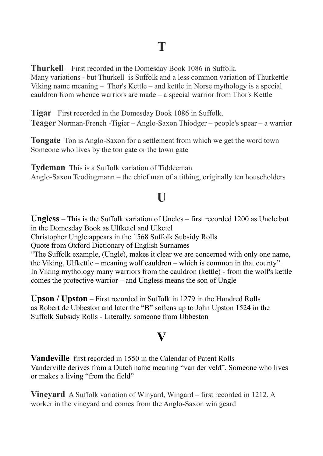**Thurkell** – First recorded in the Domesday Book 1086 in Suffolk. Many variations - but Thurkell is Suffolk and a less common variation of Thurkettle Viking name meaning – Thor's Kettle – and kettle in Norse mythology is a special cauldron from whence warriors are made – a special warrior from Thor's Kettle

**Tigar** First recorded in the Domesday Book 1086 in Suffolk. **Teager** Norman-French -Tigier – Anglo-Saxon Thiodger – people's spear – a warrior

**Tongate** Ton is Anglo-Saxon for a settlement from which we get the word town Someone who lives by the ton gate or the town gate

**Tydeman** This is a Suffolk variation of Tiddeeman Anglo-Saxon Teodingmann – the chief man of a tithing, originally ten householders

# **U**

**Ungless** – This is the Suffolk variation of Uncles – first recorded 1200 as Uncle but in the Domesday Book as Ulfketel and Ulketel Christopher Ungle appears in the 1568 Suffolk Subsidy Rolls Quote from Oxford Dictionary of English Surnames "The Suffolk example, (Ungle), makes it clear we are concerned with only one name, the Viking, Ulfkettle – meaning wolf cauldron – which is common in that county". In Viking mythology many warriors from the cauldron (kettle) - from the wolf's kettle comes the protective warrior – and Ungless means the son of Ungle

**Upson / Upston** – First recorded in Suffolk in 1279 in the Hundred Rolls as Robert de Ubbeston and later the "B" softens up to John Upston 1524 in the Suffolk Subsidy Rolls - Literally, someone from Ubbeston

## **V**

**Vandeville** first recorded in 1550 in the Calendar of Patent Rolls Vanderville derives from a Dutch name meaning "van der veld". Someone who lives or makes a living "from the field"

**Vineyard** A Suffolk variation of Winyard, Wingard – first recorded in 1212. A worker in the vineyard and comes from the Anglo-Saxon win geard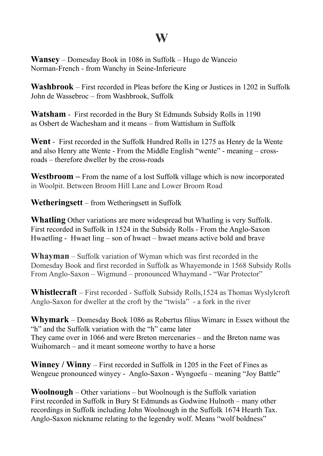### **W**

**Wansey** – Domesday Book in 1086 in Suffolk – Hugo de Wanceio Norman-French - from Wanchy in Seine-Inferieure

**Washbrook** – First recorded in Pleas before the King or Justices in 1202 in Suffolk John de Wassebroc – from Washbrook, Suffolk

**Watsham** - First recorded in the Bury St Edmunds Subsidy Rolls in 1190 as Osbert de Wachesham and it means – from Wattisham in Suffolk

**Went** - First recorded in the Suffolk Hundred Rolls in 1275 as Henry de la Wente and also Henry atte Wente - From the Middle English "wente" - meaning – crossroads – therefore dweller by the cross-roads

**Westbroom –** From the name of a lost Suffolk village which is now incorporated in Woolpit. Between Broom Hill Lane and Lower Broom Road

**Wetheringsett** – from Wetheringsett in Suffolk

**Whatling** Other variations are more widespread but Whatling is very Suffolk. First recorded in Suffolk in 1524 in the Subsidy Rolls - From the Anglo-Saxon Hwaetling - Hwaet ling – son of hwaet – hwaet means active bold and brave

**Whayman** – Suffolk variation of Wyman which was first recorded in the Domesday Book and first recorded in Suffolk as Whayemonde in 1568 Subsidy Rolls From Anglo-Saxon – Wigmund – pronounced Whaymand - "War Protector"

**Whistlecraft** – First recorded - Suffolk Subsidy Rolls,1524 as Thomas Wyslylcroft Anglo-Saxon for dweller at the croft by the "twisla" - a fork in the river

**Whymark** – Domesday Book 1086 as Robertus filius Wimarc in Essex without the "h" and the Suffolk variation with the "h" came later They came over in 1066 and were Breton mercenaries – and the Breton name was Wuihomarch – and it meant someone worthy to have a horse

**Winney / Winny** – First recorded in Suffolk in 1205 in the Feet of Fines as Wengeue pronounced winyey - Anglo-Saxon - Wyngoefu – meaning "Joy Battle"

**Woolnough** – Other variations – but Woolnough is the Suffolk variation First recorded in Suffolk in Bury St Edmunds as Godwine Hulnoth – many other recordings in Suffolk including John Woolnough in the Suffolk 1674 Hearth Tax. Anglo-Saxon nickname relating to the legendry wolf. Means "wolf boldness"